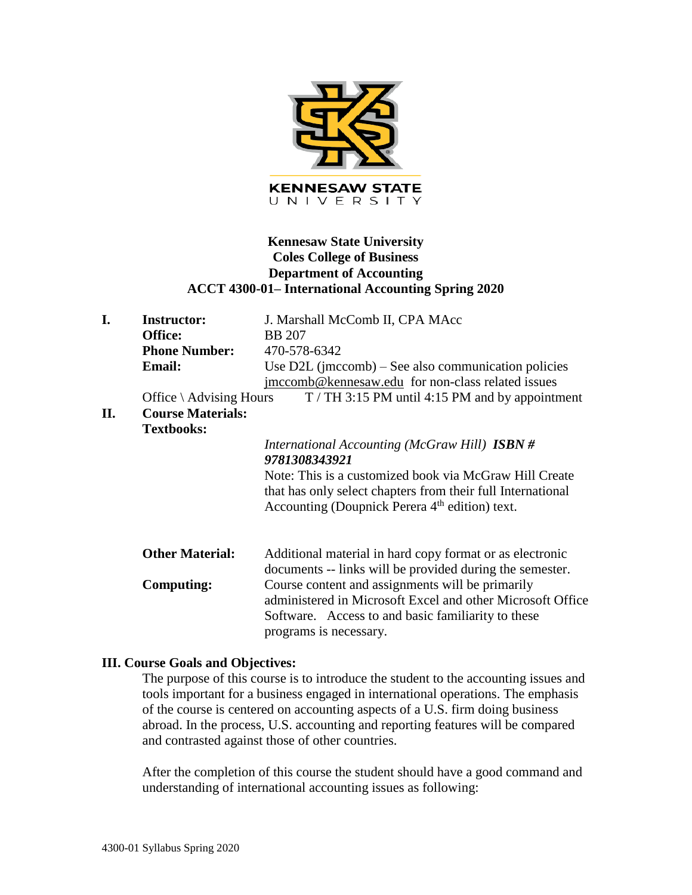

# **Kennesaw State University Coles College of Business Department of Accounting ACCT 4300-01– International Accounting Spring 2020**

| I. | <b>Instructor:</b><br>Office:     | J. Marshall McComb II, CPA MAcc<br><b>BB</b> 207                                                                                                                                               |
|----|-----------------------------------|------------------------------------------------------------------------------------------------------------------------------------------------------------------------------------------------|
|    | <b>Phone Number:</b>              | 470-578-6342                                                                                                                                                                                   |
|    | <b>Email:</b>                     | Use $D2L$ (jmccomb) – See also communication policies<br>imccomb@kennesaw.edu for non-class related issues                                                                                     |
|    | Office $\setminus$ Advising Hours | $T/TH$ 3:15 PM until 4:15 PM and by appointment                                                                                                                                                |
| П. | <b>Course Materials:</b>          |                                                                                                                                                                                                |
|    | <b>Textbooks:</b>                 |                                                                                                                                                                                                |
|    |                                   | International Accounting (McGraw Hill) ISBN #<br>9781308343921                                                                                                                                 |
|    |                                   | Note: This is a customized book via McGraw Hill Create<br>that has only select chapters from their full International<br>Accounting (Doupnick Perera 4 <sup>th</sup> edition) text.            |
|    | <b>Other Material:</b>            | Additional material in hard copy format or as electronic<br>documents -- links will be provided during the semester.                                                                           |
|    | Computing:                        | Course content and assignments will be primarily<br>administered in Microsoft Excel and other Microsoft Office<br>Software. Access to and basic familiarity to these<br>programs is necessary. |

#### **III. Course Goals and Objectives:**

The purpose of this course is to introduce the student to the accounting issues and tools important for a business engaged in international operations. The emphasis of the course is centered on accounting aspects of a U.S. firm doing business abroad. In the process, U.S. accounting and reporting features will be compared and contrasted against those of other countries.

After the completion of this course the student should have a good command and understanding of international accounting issues as following: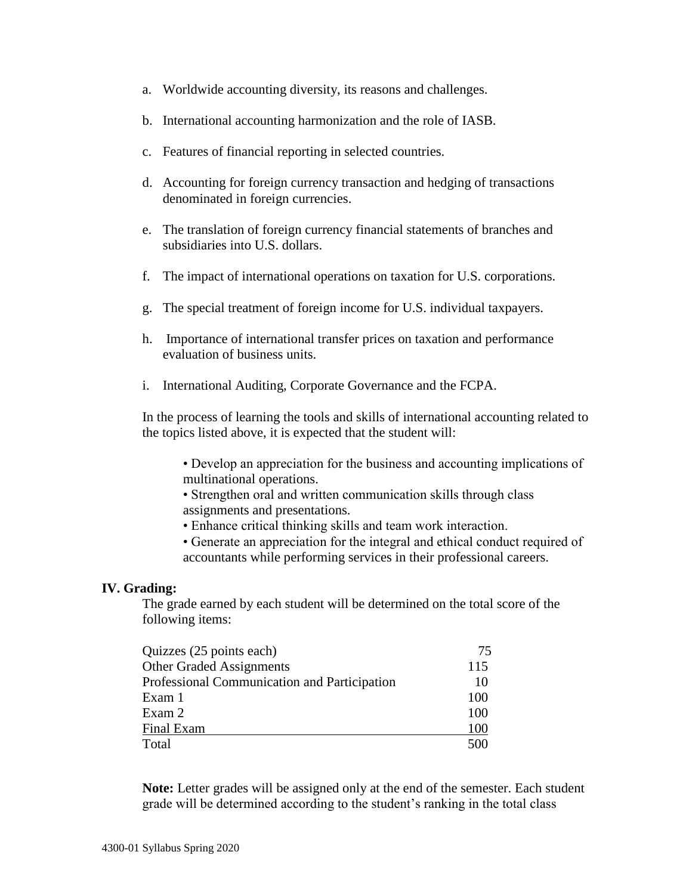- a. Worldwide accounting diversity, its reasons and challenges.
- b. International accounting harmonization and the role of IASB.
- c. Features of financial reporting in selected countries.
- d. Accounting for foreign currency transaction and hedging of transactions denominated in foreign currencies.
- e. The translation of foreign currency financial statements of branches and subsidiaries into U.S. dollars.
- f. The impact of international operations on taxation for U.S. corporations.
- g. The special treatment of foreign income for U.S. individual taxpayers.
- h. Importance of international transfer prices on taxation and performance evaluation of business units.
- i. International Auditing, Corporate Governance and the FCPA.

In the process of learning the tools and skills of international accounting related to the topics listed above, it is expected that the student will:

- Develop an appreciation for the business and accounting implications of multinational operations.
- Strengthen oral and written communication skills through class assignments and presentations.
- Enhance critical thinking skills and team work interaction.
- Generate an appreciation for the integral and ethical conduct required of accountants while performing services in their professional careers.

#### **IV. Grading:**

The grade earned by each student will be determined on the total score of the following items:

| Quizzes (25 points each)                            | 75  |
|-----------------------------------------------------|-----|
| <b>Other Graded Assignments</b>                     | 115 |
| <b>Professional Communication and Participation</b> | 10  |
| Exam 1                                              | 100 |
| Exam 2                                              | 100 |
| Final Exam                                          | 100 |
| Total                                               | 500 |

**Note:** Letter grades will be assigned only at the end of the semester. Each student grade will be determined according to the student's ranking in the total class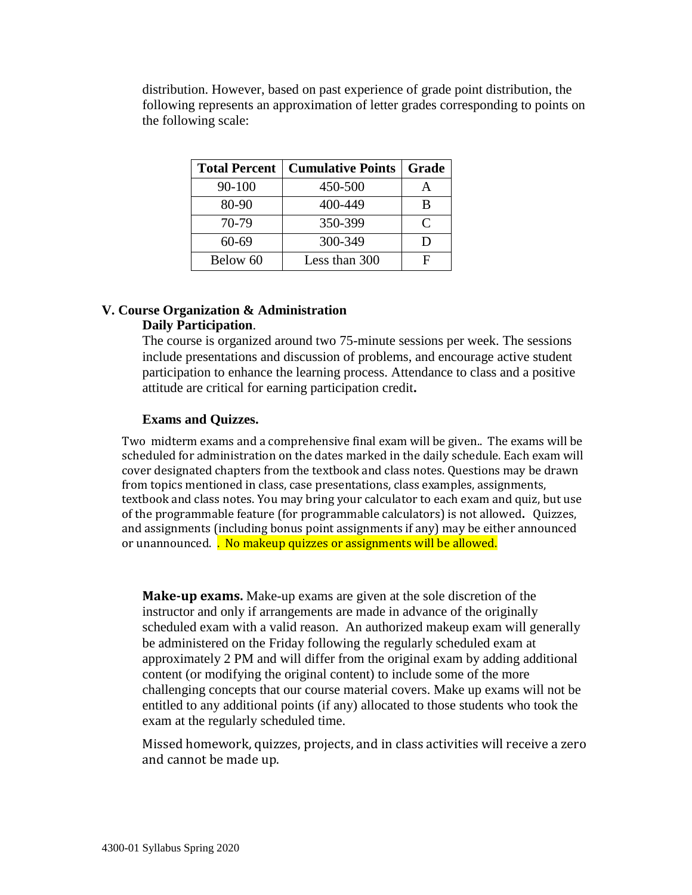distribution. However, based on past experience of grade point distribution, the following represents an approximation of letter grades corresponding to points on the following scale:

| <b>Total Percent</b> | <b>Cumulative Points</b> | Grade     |
|----------------------|--------------------------|-----------|
| 90-100               | 450-500                  |           |
| 80-90                | 400-449                  | B         |
| 70-79                | 350-399                  | $\subset$ |
| $60 - 69$            | 300-349                  | D         |
| Below 60             | Less than 300            | F         |

#### **V. Course Organization & Administration**

#### **Daily Participation**.

The course is organized around two 75-minute sessions per week. The sessions include presentations and discussion of problems, and encourage active student participation to enhance the learning process. Attendance to class and a positive attitude are critical for earning participation credit**.** 

#### **Exams and Quizzes.**

Two midterm exams and a comprehensive final exam will be given.. The exams will be scheduled for administration on the dates marked in the daily schedule. Each exam will cover designated chapters from the textbook and class notes. Questions may be drawn from topics mentioned in class, case presentations, class examples, assignments, textbook and class notes. You may bring your calculator to each exam and quiz, but use of the programmable feature (for programmable calculators) is not allowed**.** Quizzes, and assignments (including bonus point assignments if any) may be either announced or unannounced. . No makeup quizzes or assignments will be allowed.

**Make-up exams.** Make-up exams are given at the sole discretion of the instructor and only if arrangements are made in advance of the originally scheduled exam with a valid reason. An authorized makeup exam will generally be administered on the Friday following the regularly scheduled exam at approximately 2 PM and will differ from the original exam by adding additional content (or modifying the original content) to include some of the more challenging concepts that our course material covers. Make up exams will not be entitled to any additional points (if any) allocated to those students who took the exam at the regularly scheduled time.

Missed homework, quizzes, projects, and in class activities will receive a zero and cannot be made up.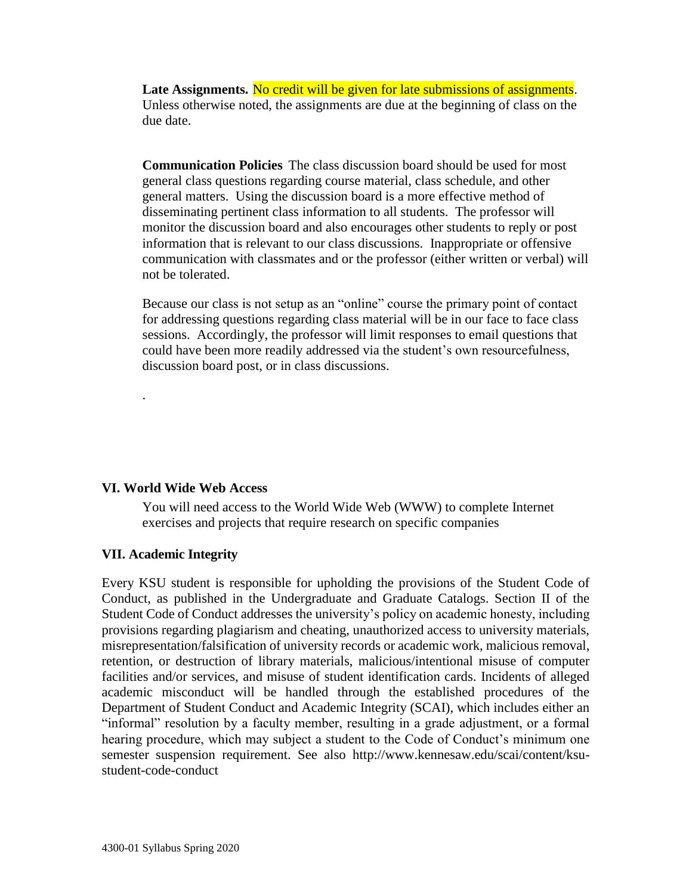Late Assignments. No credit will be given for late submissions of assignments. Unless otherwise noted, the assignments are due at the beginning of class on the due date.

**Communication Policies** The class discussion board should be used for most general class questions regarding course material, class schedule, and other general matters. Using the discussion board is a more effective method of disseminating pertinent class information to all students. The professor will monitor the discussion board and also encourages other students to reply or post information that is relevant to our class discussions. Inappropriate or offensive communication with classmates and or the professor (either written or verbal) will not be tolerated.

Because our class is not setup as an "online" course the primary point of contact for addressing questions regarding class material will be in our face to face class sessions. Accordingly, the professor will limit responses to email questions that could have been more readily addressed via the student's own resourcefulness, discussion board post, or in class discussions.

#### **VI. World Wide Web Access**

You will need access to the World Wide Web (WWW) to complete Internet exercises and projects that require research on specific companies

# **VII. Academic Integrity**

.

Every KSU student is responsible for upholding the provisions of the Student Code of Conduct, as published in the Undergraduate and Graduate Catalogs. Section II of the Student Code of Conduct addresses the university's policy on academic honesty, including provisions regarding plagiarism and cheating, unauthorized access to university materials, misrepresentation/falsification of university records or academic work, malicious removal, retention, or destruction of library materials, malicious/intentional misuse of computer facilities and/or services, and misuse of student identification cards. Incidents of alleged academic misconduct will be handled through the established procedures of the Department of Student Conduct and Academic Integrity (SCAI), which includes either an "informal" resolution by a faculty member, resulting in a grade adjustment, or a formal hearing procedure, which may subject a student to the Code of Conduct's minimum one semester suspension requirement. See also [http://www.kennesaw.edu/scai/content/ksu](http://www.kennesaw.edu/scai/content/ksu-student-code-conduct)[student-code-conduct](http://www.kennesaw.edu/scai/content/ksu-student-code-conduct)